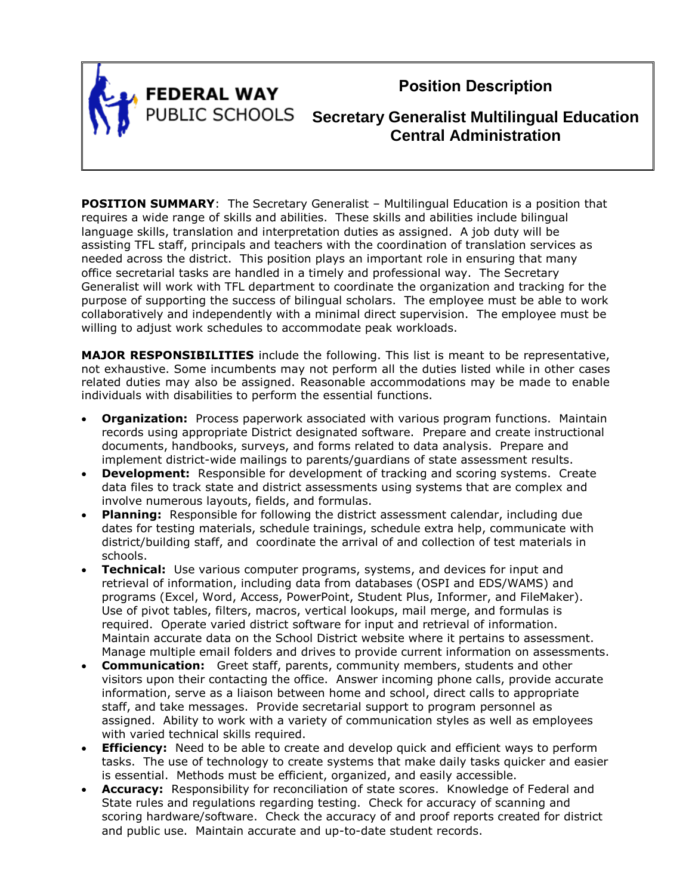

**FEDERAL WAY** 

**Position Description**

**PUBLIC SCHOOLS** Secretary Generalist Multilingual Education **Central Administration**

**POSITION SUMMARY:** The Secretary Generalist – Multilingual Education is a position that requires a wide range of skills and abilities. These skills and abilities include bilingual language skills, translation and interpretation duties as assigned. A job duty will be assisting TFL staff, principals and teachers with the coordination of translation services as needed across the district. This position plays an important role in ensuring that many office secretarial tasks are handled in a timely and professional way. The Secretary Generalist will work with TFL department to coordinate the organization and tracking for the purpose of supporting the success of bilingual scholars. The employee must be able to work collaboratively and independently with a minimal direct supervision. The employee must be willing to adjust work schedules to accommodate peak workloads.

**MAJOR RESPONSIBILITIES** include the following. This list is meant to be representative, not exhaustive. Some incumbents may not perform all the duties listed while in other cases related duties may also be assigned. Reasonable accommodations may be made to enable individuals with disabilities to perform the essential functions.

- **Organization:** Process paperwork associated with various program functions. Maintain records using appropriate District designated software. Prepare and create instructional documents, handbooks, surveys, and forms related to data analysis. Prepare and implement district-wide mailings to parents/guardians of state assessment results.
- **Development:** Responsible for development of tracking and scoring systems. Create data files to track state and district assessments using systems that are complex and involve numerous layouts, fields, and formulas.
- **Planning:** Responsible for following the district assessment calendar, including due dates for testing materials, schedule trainings, schedule extra help, communicate with district/building staff, and coordinate the arrival of and collection of test materials in schools.
- **Technical:** Use various computer programs, systems, and devices for input and retrieval of information, including data from databases (OSPI and EDS/WAMS) and programs (Excel, Word, Access, PowerPoint, Student Plus, Informer, and FileMaker). Use of pivot tables, filters, macros, vertical lookups, mail merge, and formulas is required. Operate varied district software for input and retrieval of information. Maintain accurate data on the School District website where it pertains to assessment. Manage multiple email folders and drives to provide current information on assessments.
- **Communication:** Greet staff, parents, community members, students and other visitors upon their contacting the office. Answer incoming phone calls, provide accurate information, serve as a liaison between home and school, direct calls to appropriate staff, and take messages. Provide secretarial support to program personnel as assigned. Ability to work with a variety of communication styles as well as employees with varied technical skills required.
- **Efficiency:** Need to be able to create and develop quick and efficient ways to perform tasks. The use of technology to create systems that make daily tasks quicker and easier is essential. Methods must be efficient, organized, and easily accessible.
- **Accuracy:** Responsibility for reconciliation of state scores. Knowledge of Federal and State rules and regulations regarding testing. Check for accuracy of scanning and scoring hardware/software. Check the accuracy of and proof reports created for district and public use. Maintain accurate and up-to-date student records.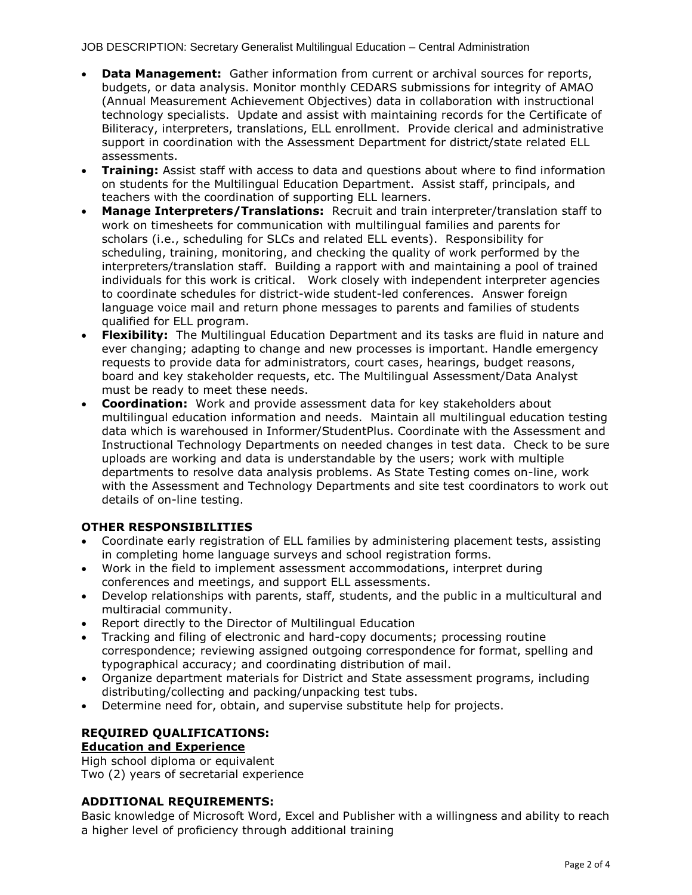- **Data Management:** Gather information from current or archival sources for reports, budgets, or data analysis. Monitor monthly CEDARS submissions for integrity of AMAO (Annual Measurement Achievement Objectives) data in collaboration with instructional technology specialists. Update and assist with maintaining records for the Certificate of Biliteracy, interpreters, translations, ELL enrollment. Provide clerical and administrative support in coordination with the Assessment Department for district/state related ELL assessments.
- **Training:** Assist staff with access to data and questions about where to find information on students for the Multilingual Education Department. Assist staff, principals, and teachers with the coordination of supporting ELL learners.
- **Manage Interpreters/Translations:** Recruit and train interpreter/translation staff to work on timesheets for communication with multilingual families and parents for scholars (i.e., scheduling for SLCs and related ELL events). Responsibility for scheduling, training, monitoring, and checking the quality of work performed by the interpreters/translation staff. Building a rapport with and maintaining a pool of trained individuals for this work is critical. Work closely with independent interpreter agencies to coordinate schedules for district-wide student-led conferences. Answer foreign language voice mail and return phone messages to parents and families of students qualified for ELL program.
- **Flexibility:** The Multilingual Education Department and its tasks are fluid in nature and ever changing; adapting to change and new processes is important. Handle emergency requests to provide data for administrators, court cases, hearings, budget reasons, board and key stakeholder requests, etc. The Multilingual Assessment/Data Analyst must be ready to meet these needs.
- **Coordination:** Work and provide assessment data for key stakeholders about multilingual education information and needs. Maintain all multilingual education testing data which is warehoused in Informer/StudentPlus. Coordinate with the Assessment and Instructional Technology Departments on needed changes in test data. Check to be sure uploads are working and data is understandable by the users; work with multiple departments to resolve data analysis problems. As State Testing comes on-line, work with the Assessment and Technology Departments and site test coordinators to work out details of on-line testing.

## **OTHER RESPONSIBILITIES**

- Coordinate early registration of ELL families by administering placement tests, assisting in completing home language surveys and school registration forms.
- Work in the field to implement assessment accommodations, interpret during conferences and meetings, and support ELL assessments.
- Develop relationships with parents, staff, students, and the public in a multicultural and multiracial community.
- Report directly to the Director of Multilingual Education
- Tracking and filing of electronic and hard-copy documents; processing routine correspondence; reviewing assigned outgoing correspondence for format, spelling and typographical accuracy; and coordinating distribution of mail.
- Organize department materials for District and State assessment programs, including distributing/collecting and packing/unpacking test tubs.
- Determine need for, obtain, and supervise substitute help for projects.

# **REQUIRED QUALIFICATIONS: Education and Experience**

High school diploma or equivalent Two (2) years of secretarial experience

### **ADDITIONAL REQUIREMENTS:**

Basic knowledge of Microsoft Word, Excel and Publisher with a willingness and ability to reach a higher level of proficiency through additional training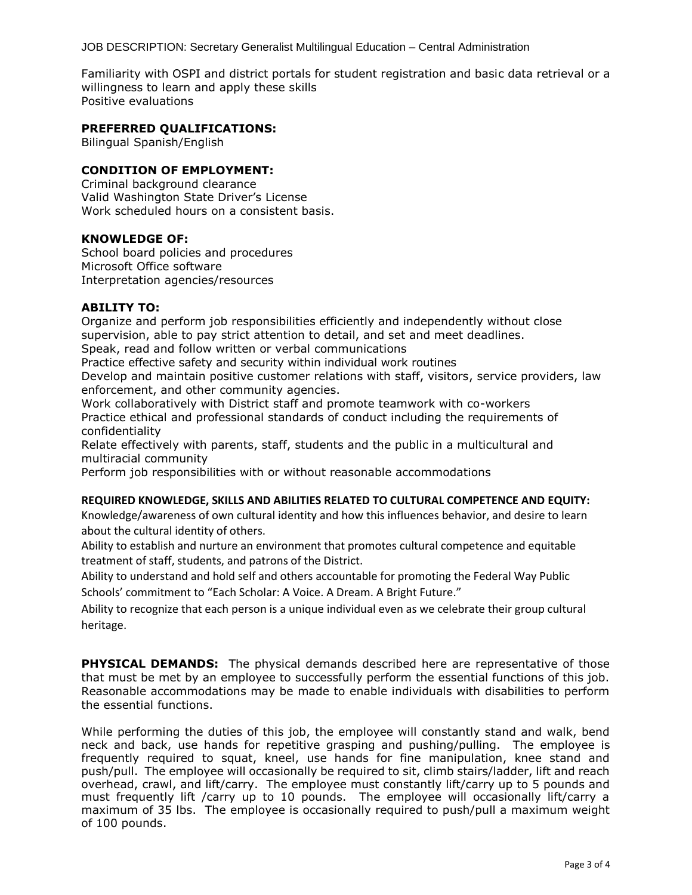JOB DESCRIPTION: Secretary Generalist Multilingual Education – Central Administration

Familiarity with OSPI and district portals for student registration and basic data retrieval or a willingness to learn and apply these skills Positive evaluations

#### **PREFERRED QUALIFICATIONS:**

Bilingual Spanish/English

## **CONDITION OF EMPLOYMENT:**

Criminal background clearance Valid Washington State Driver's License Work scheduled hours on a consistent basis.

#### **KNOWLEDGE OF:**

School board policies and procedures Microsoft Office software Interpretation agencies/resources

#### **ABILITY TO:**

Organize and perform job responsibilities efficiently and independently without close supervision, able to pay strict attention to detail, and set and meet deadlines. Speak, read and follow written or verbal communications

Practice effective safety and security within individual work routines

Develop and maintain positive customer relations with staff, visitors, service providers, law enforcement, and other community agencies.

Work collaboratively with District staff and promote teamwork with co-workers Practice ethical and professional standards of conduct including the requirements of confidentiality

Relate effectively with parents, staff, students and the public in a multicultural and multiracial community

Perform job responsibilities with or without reasonable accommodations

#### **REQUIRED KNOWLEDGE, SKILLS AND ABILITIES RELATED TO CULTURAL COMPETENCE AND EQUITY:**

Knowledge/awareness of own cultural identity and how this influences behavior, and desire to learn about the cultural identity of others.

Ability to establish and nurture an environment that promotes cultural competence and equitable treatment of staff, students, and patrons of the District.

Ability to understand and hold self and others accountable for promoting the Federal Way Public Schools' commitment to "Each Scholar: A Voice. A Dream. A Bright Future."

Ability to recognize that each person is a unique individual even as we celebrate their group cultural heritage.

**PHYSICAL DEMANDS:** The physical demands described here are representative of those that must be met by an employee to successfully perform the essential functions of this job. Reasonable accommodations may be made to enable individuals with disabilities to perform the essential functions.

While performing the duties of this job, the employee will constantly stand and walk, bend neck and back, use hands for repetitive grasping and pushing/pulling. The employee is frequently required to squat, kneel, use hands for fine manipulation, knee stand and push/pull. The employee will occasionally be required to sit, climb stairs/ladder, lift and reach overhead, crawl, and lift/carry. The employee must constantly lift/carry up to 5 pounds and must frequently lift /carry up to 10 pounds. The employee will occasionally lift/carry a maximum of 35 lbs. The employee is occasionally required to push/pull a maximum weight of 100 pounds.